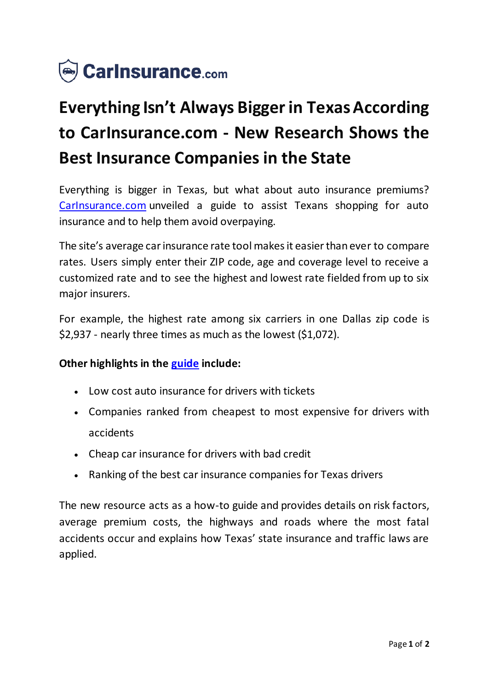

## **Everything Isn't Always Bigger in Texas According to CarInsurance.com - New Research Shows the Best Insurance Companies in the State**

Everything is bigger in Texas, but what about auto insurance premiums? [CarInsurance.com](https://www.carinsurance.com/state/Texas-car-insurance.aspx) unveiled a guide to assist Texans shopping for auto insurance and to help them avoid overpaying.

The site's average car insurance rate tool makes it easier than ever to compare rates. Users simply enter their ZIP code, age and coverage level to receive a customized rate and to see the highest and lowest rate fielded from up to six major insurers.

For example, the highest rate among six carriers in one Dallas zip code is \$2,937 - nearly three times as much as the lowest (\$1,072).

## **Other highlights in the [guide](https://www.carinsurance.com/state/Texas-car-insurance.aspx) include:**

- Low cost auto insurance for drivers with tickets
- Companies ranked from cheapest to most expensive for drivers with accidents
- Cheap car insurance for drivers with bad credit
- Ranking of the best car insurance companies for Texas drivers

The new resource acts as a how-to guide and provides details on risk factors, average premium costs, the highways and roads where the most fatal accidents occur and explains how Texas' state insurance and traffic laws are applied.